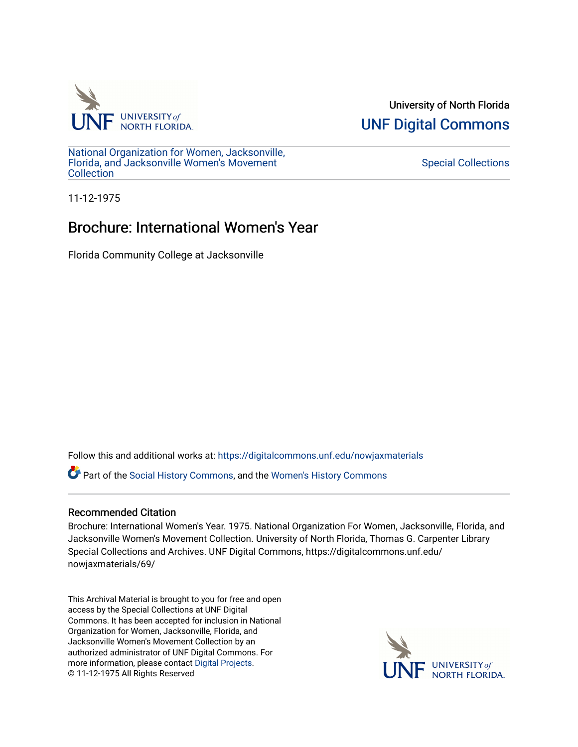

University of North Florida [UNF Digital Commons](https://digitalcommons.unf.edu/) 

[National Organization for Women, Jacksonville,](https://digitalcommons.unf.edu/nowjaxmaterials) [Florida, and Jacksonville Women's Movement](https://digitalcommons.unf.edu/nowjaxmaterials) **Collection** 

### [Special Collections](https://digitalcommons.unf.edu/special_collections)

11-12-1975

# Brochure: International Women's Year

Florida Community College at Jacksonville

Follow this and additional works at: [https://digitalcommons.unf.edu/nowjaxmaterials](https://digitalcommons.unf.edu/nowjaxmaterials?utm_source=digitalcommons.unf.edu%2Fnowjaxmaterials%2F69&utm_medium=PDF&utm_campaign=PDFCoverPages) 

Part of the [Social History Commons](http://network.bepress.com/hgg/discipline/506?utm_source=digitalcommons.unf.edu%2Fnowjaxmaterials%2F69&utm_medium=PDF&utm_campaign=PDFCoverPages), and the [Women's History Commons](http://network.bepress.com/hgg/discipline/507?utm_source=digitalcommons.unf.edu%2Fnowjaxmaterials%2F69&utm_medium=PDF&utm_campaign=PDFCoverPages)

### Recommended Citation

Brochure: International Women's Year. 1975. National Organization For Women, Jacksonville, Florida, and Jacksonville Women's Movement Collection. University of North Florida, Thomas G. Carpenter Library Special Collections and Archives. UNF Digital Commons, https://digitalcommons.unf.edu/ nowjaxmaterials/69/

This Archival Material is brought to you for free and open access by the Special Collections at UNF Digital Commons. It has been accepted for inclusion in National Organization for Women, Jacksonville, Florida, and Jacksonville Women's Movement Collection by an authorized administrator of UNF Digital Commons. For more information, please contact [Digital Projects](mailto:lib-digital@unf.edu). © 11-12-1975 All Rights Reserved

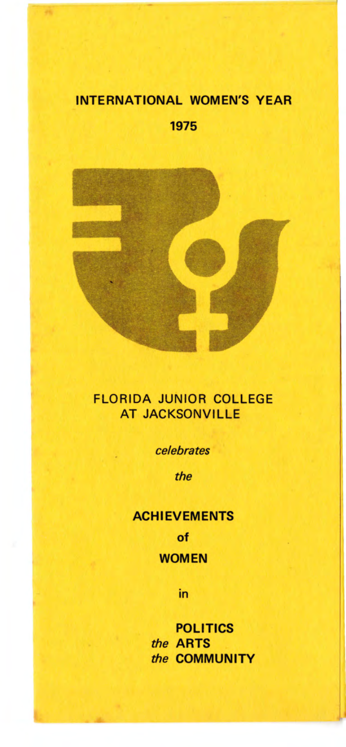### **INTERNATIONAL WOMEN'S YEAR**

1975



### **FLORIDA JUNIOR COLLEGE AT JACKSONVILLE**

celebrates

the

# **ACHIEVEMENTS** of **WOMEN**

in

**POLITICS** the **ARTS** the COMMUNITY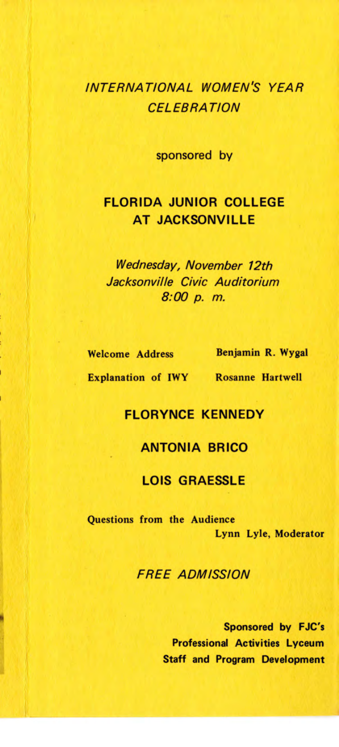## INTERNATIONAL WOMEN'S YEAR **CELEBRATION**

sponsored by

### **FLORIDA JUNIOR** COLLEGE **AT JACKSONVILLE**

*Wednesday, November 12th Jacksonville Civic Auditorium*  8:00 p. *m.* 

Welcome Address

Benjamin **R. Wygal** 

Explanation of IWY Rosanne Hartwell

#### **FLORYNCE KENNEDY**

#### **ANTONIA BRICO**

#### LOIS GRAESSLE

Questions from the Audience Lynn Lyle, Moderator

FREE ADMISSION

Sponsored by FJC's Professional Activities Lyceum Staff and Program Development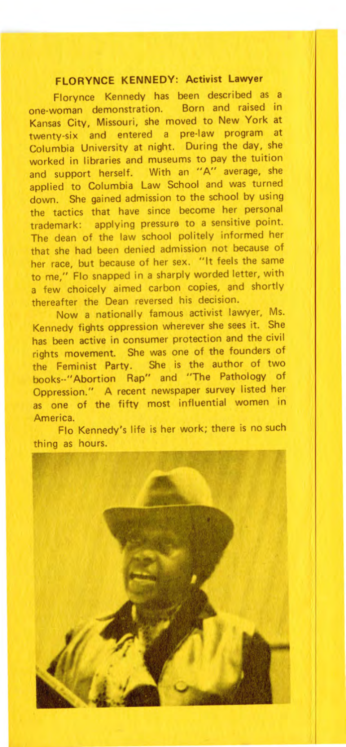#### **FLORYNCE KENNEDY: Activist Lawyer**

Florynce Kennedy has been described as a one-woman demonstration. Born and raised in Kansas City, Missouri, she moved to New York at twenty-six and entered a pre-law program at Columbia University at night. During the day, she worked in libraries and museums to pay the tuition and support herself. With an "A" average, she applied to Columbia Law School and was turned down. She gained admission to the school by using the tactics that have since become her personal trademark: applying pressure to a sensitive point. The dean of the law school politely informed her that she had been denied admission not because of her race, but because of her sex. "It feels the same to me," Flo snapped in a sharply worded letter, with a few choicely aimed carbon copies, and shortly thereafter the Dean reversed his decision.

Now a nationally famous activist lawyer, Ms. Kennedy fights oppression wherever she sees it. She has been active in consumer protection and the civil rights movement. She was one of the founders of the Feminist Party. She is the author of two books--" Abortion Rap" and "The Pathology of Oppression." A recent newspaper survey listed her as one of the fifty most influential women in America.

Flo Kennedy's life is her work; there is no such thing as hours.

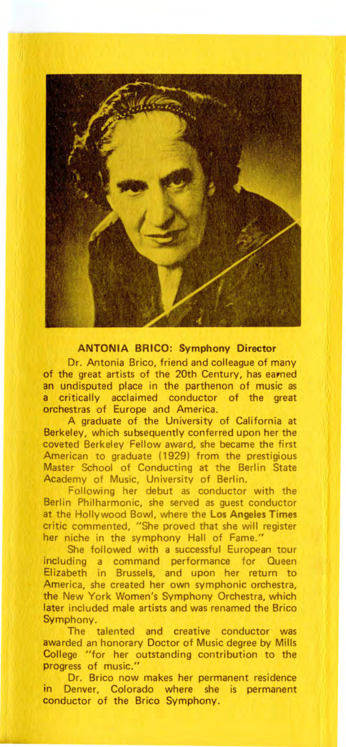

**ANTONIA BRICO: Symphony Director** 

Dr. Antonia Brico, friend and colleague of many of the great artists of the 20th Century, has earned an undisputed place in the parthenon of music as a critically acclaimed conductor of the great orchestras of Europe and America.

A graduate of the University of California at Berkeley, which subsequently conferred upon her the coveted Berkeley Fellow award, she became the first American to graduate (1929) from the prestigious Master School of Conducting at the Berlin State Academy of Music, University of Berlin.

Following her debut as conductor with the Berlin Philharmonic, she served as guest conductor at the Hollywood Bowl, where the **Los Angeles Times**  critic commented, "She proved that she will register her niche in the symphony Hall of Fame."

She followed with a successful European tour including a command performance for Queen Elizabeth in Brussels, and upon her return to America, she created her own symphonic orchestra, the New York Women's Symphony Orchestra, which later included male artists and was renamed the Brico Symphony.

The talented and creative conductor was awa rded an honorary Doctor of Music degree by Mills College "for her outstanding contribution to the progress of music."

Dr. Brico now makes her permanent residence in Denver, Colorado where she is permanent conductor of the Brico Symphony.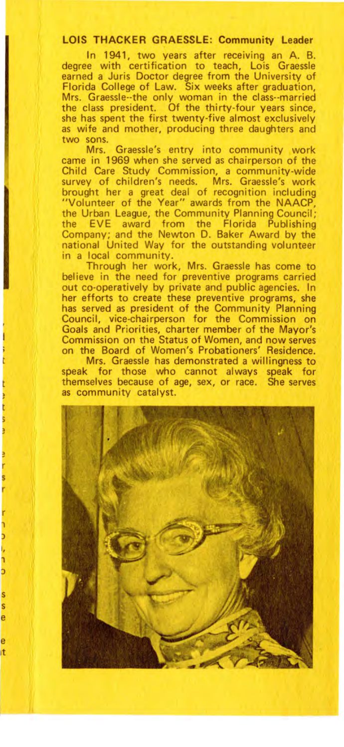#### **LOIS THACKER GRAESSLE: Community Leader**

In 1941, two years after receiving an A. B. degree with certification to teach, Lois Graessle earned a Juris Doctor degree from the University of Florida College of Law. Six weeks after graduation, Mrs. Graessle--the only woman in the class--married the class president. Of the thirty-four years since, she has spent the first twenty-five almost exclusively as wife and mother, producing three daughters and two sons.

Mrs. Graessle's entry into community work came in 1969 when she served as chairperson of the Child Care Study Commission, a community-wide survey of children's needs. Mrs. Graessle's work brought her a great deal of recognition including "Volunteer of the Year" awards from the NAACP, the Urban League, the Community Planning Council; the EVE award from the Florida Publishing Company; and the Newton D. Baker Award by the national United Way for the outstanding volunteer in a local community.

Through her work, Mrs. Graessle has come to believe in the need for preventive programs carried out co-operatively by private and public agencies. In her efforts to create these preventive programs, she has served as president of the Community Planning Council, vice-chairperson for the Commission on Goals and Priorities, charter member of the Mayor's Commission on the Status of Women, and now serves on the Board of Women's Probationers' Residence.

Mrs. Graessle has demonstrated a willingness to speak for those who cannot always speak for themselves because of age, sex, or race. She serves as community catalyst.

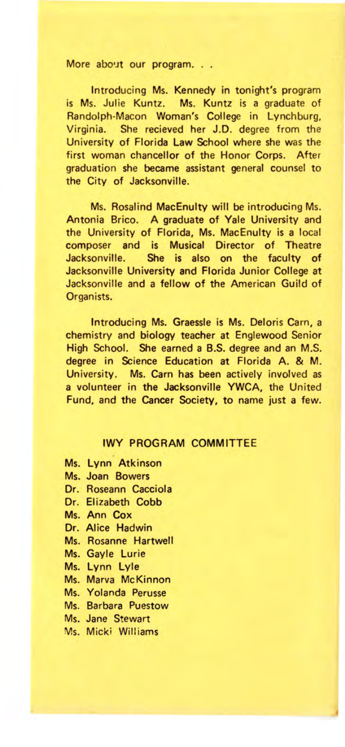More about our program. . .

Introducing Ms. Kennedy in tonight's program is Ms. Julie Kuntz. Ms. Kuntz is a graduate of Randolph-Macon Woman's College in Lynchburg, Virginia. She recieved her J.D. degree from the University of Florida **Law** School where she was the first woman chancellor of the Honor Corps. After graduation she became assistant general counsel to the City of Jacksonville.

Ms. Rosalind MacEnulty will be introducing Ms. Antonia Brico. A graduate of Yale University and the University of Florida, Ms. MacEnulty is a local composer and is Musical Director of Theatre Jacksonville. She is also on the faculty of Jacksonville University and Florida Junior College at Jacksonville and a fellow of the American Guild of Organists.

Introducing Ms. Graessle is Ms. Deloris Carn, a chemistry and biology teacher at Englewood Senior High School. She earned a B.S. degree and an M.S. degree in Science Education at Florida A. & M. University. Ms. Carn has been actively involved as a volunteer in the Jacksonville YWCA, the United Fund, and the Cancer Society, to name just a few.

#### IWY PROGRAM COMMITTEE

- Ms. Lynn Atkinson
- Ms. Joan Bowers
- Dr. Roseann Cacciola
- Dr. Elizabeth Cobb
- Ms. Ann Cox
- Dr. Alice Hadwin
- Ms. Rosanne Hartwell
- Ms. Gayle Lurie
- Ms. Lynn Lyle
- Ms. Marva McKinnon
- Ms. Yolanda Perusse
- Ms. Barbara Puestow
- Ms. Jane Stewart
- Ms. Micki Williams